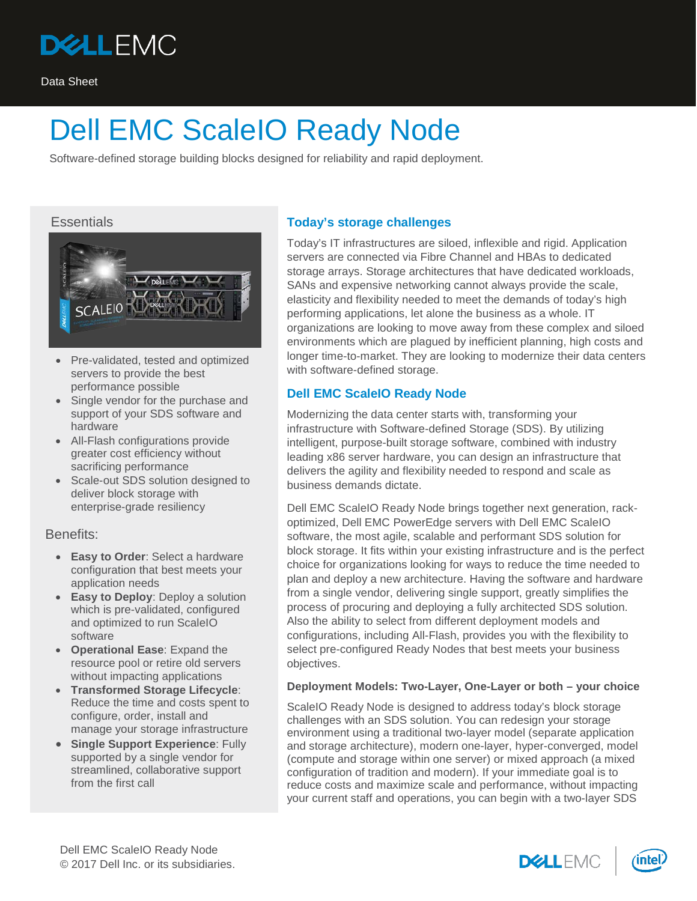

Software-defined storage building blocks designed for reliability and rapid deployment.

## **Essentials**



- Pre-validated, tested and optimized servers to provide the best performance possible
- Single vendor for the purchase and support of your SDS software and hardware
- All-Flash configurations provide greater cost efficiency without sacrificing performance
- Scale-out SDS solution designed to deliver block storage with enterprise-grade resiliency

Benefits:

- **Easy to Order**: Select a hardware configuration that best meets your application needs
- **Easy to Deploy:** Deploy a solution which is pre-validated, configured and optimized to run ScaleIO software
- **Operational Ease**: Expand the resource pool or retire old servers without impacting applications
- **Transformed Storage Lifecycle**: Reduce the time and costs spent to configure, order, install and manage your storage infrastructure
- **Single Support Experience: Fully** supported by a single vendor for streamlined, collaborative support from the first call

## **Today's storage challenges**

Today's IT infrastructures are siloed, inflexible and rigid. Application servers are connected via Fibre Channel and HBAs to dedicated storage arrays. Storage architectures that have dedicated workloads, SANs and expensive networking cannot always provide the scale, elasticity and flexibility needed to meet the demands of today's high performing applications, let alone the business as a whole. IT organizations are looking to move away from these complex and siloed environments which are plagued by inefficient planning, high costs and longer time-to-market. They are looking to modernize their data centers with software-defined storage.

## **Dell EMC ScaleIO Ready Node**

Modernizing the data center starts with, transforming your infrastructure with Software-defined Storage (SDS). By utilizing intelligent, purpose-built storage software, combined with industry leading x86 server hardware, you can design an infrastructure that delivers the agility and flexibility needed to respond and scale as business demands dictate.

Dell EMC ScaleIO Ready Node brings together next generation, rackoptimized, Dell EMC PowerEdge servers with Dell EMC ScaleIO software, the most agile, scalable and performant SDS solution for block storage. It fits within your existing infrastructure and is the perfect choice for organizations looking for ways to reduce the time needed to plan and deploy a new architecture. Having the software and hardware from a single vendor, delivering single support, greatly simplifies the process of procuring and deploying a fully architected SDS solution. Also the ability to select from different deployment models and configurations, including All-Flash, provides you with the flexibility to select pre-configured Ready Nodes that best meets your business objectives.

### **Deployment Models: Two-Layer, One-Layer or both – your choice**

ScaleIO Ready Node is designed to address today's block storage challenges with an SDS solution. You can redesign your storage environment using a traditional two-layer model (separate application and storage architecture), modern one-layer, hyper-converged, model (compute and storage within one server) or mixed approach (a mixed configuration of tradition and modern). If your immediate goal is to reduce costs and maximize scale and performance, without impacting your current staff and operations, you can begin with a two-layer SDS



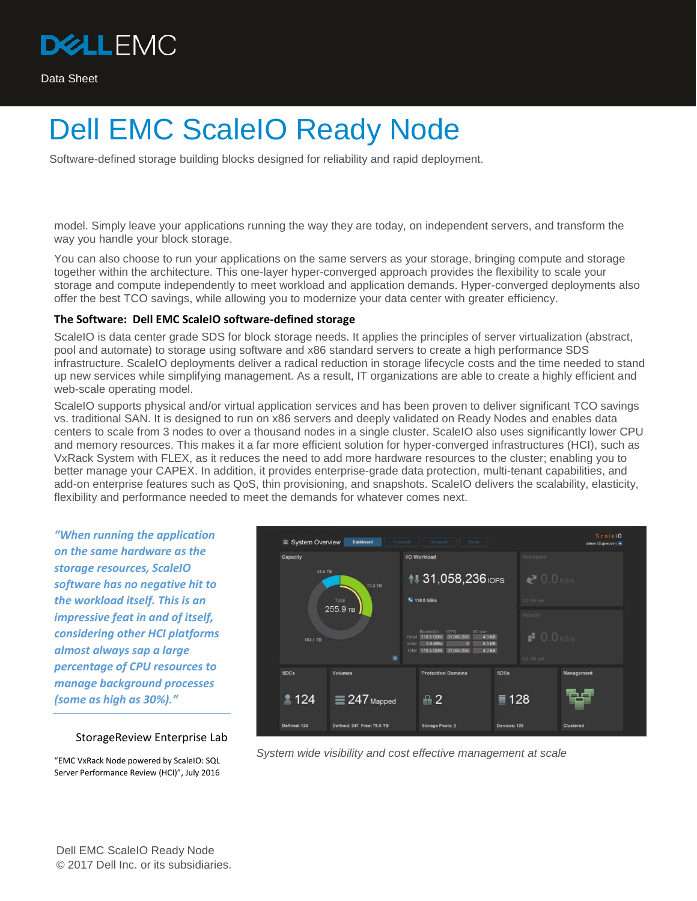

Software-defined storage building blocks designed for reliability and rapid deployment.

model. Simply leave your applications running the way they are today, on independent servers, and transform the way you handle your block storage.

You can also choose to run your applications on the same servers as your storage, bringing compute and storage together within the architecture. This one-layer hyper-converged approach provides the flexibility to scale your storage and compute independently to meet workload and application demands. Hyper-converged deployments also offer the best TCO savings, while allowing you to modernize your data center with greater efficiency.

#### **The Software: Dell EMC ScaleIO software-defined storage**

ScaleIO is data center grade SDS for block storage needs. It applies the principles of server virtualization (abstract, pool and automate) to storage using software and x86 standard servers to create a high performance SDS infrastructure. ScaleIO deployments deliver a radical reduction in storage lifecycle costs and the time needed to stand up new services while simplifying management. As a result, IT organizations are able to create a highly efficient and web-scale operating model.

ScaleIO supports physical and/or virtual application services and has been proven to deliver significant TCO savings vs. traditional SAN. It is designed to run on x86 servers and deeply validated on Ready Nodes and enables data centers to scale from 3 nodes to over a thousand nodes in a single cluster. ScaleIO also uses significantly lower CPU and memory resources. This makes it a far more efficient solution for hyper-converged infrastructures (HCI), such as VxRack System with FLEX, as it reduces the need to add more hardware resources to the cluster; enabling you to better manage your CAPEX. In addition, it provides enterprise-grade data protection, multi-tenant capabilities, and add-on enterprise features such as QoS, thin provisioning, and snapshots. ScaleIO delivers the scalability, elasticity, flexibility and performance needed to meet the demands for whatever comes next.

*"When running the application on the same hardware as the storage resources, ScaleIO software has no negative hit to the workload itself. This is an impressive feat in and of itself, considering other HCI platforms almost always sap a large percentage of CPU resources to manage background processes (some as high as 30%)."*

#### StorageReview Enterprise Lab

"EMC VxRack Node powered by ScaleIO: SQL Server Performance Review (HCI)", July 2016



*System wide visibility and cost effective management at scale*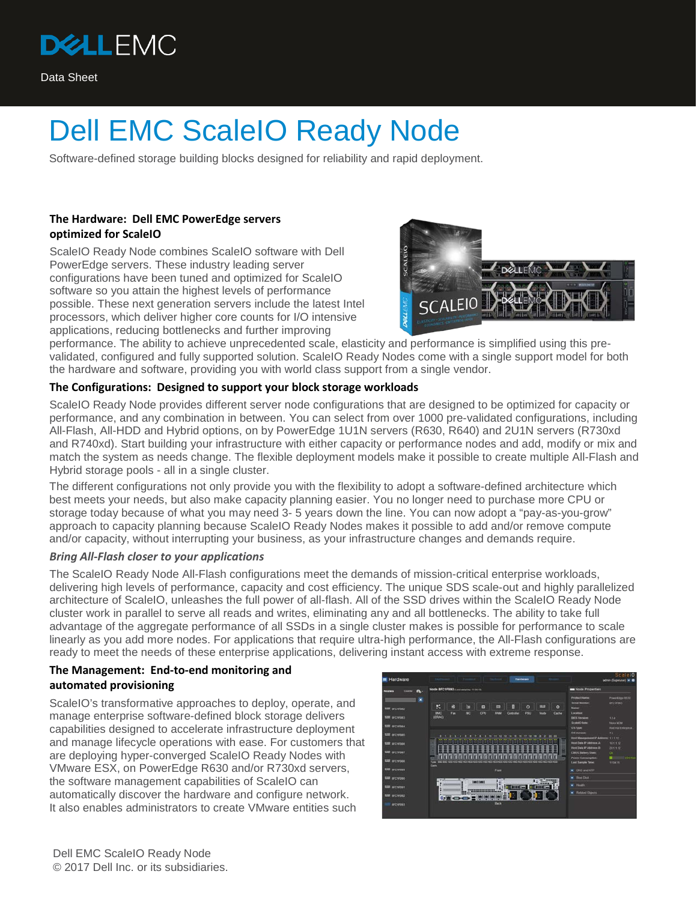

Software-defined storage building blocks designed for reliability and rapid deployment.

## **The Hardware: Dell EMC PowerEdge servers optimized for ScaleIO**

ScaleIO Ready Node combines ScaleIO software with Dell PowerEdge servers. These industry leading server configurations have been tuned and optimized for ScaleIO software so you attain the highest levels of performance possible. These next generation servers include the latest Intel processors, which deliver higher core counts for I/O intensive applications, reducing bottlenecks and further improving



performance. The ability to achieve unprecedented scale, elasticity and performance is simplified using this prevalidated, configured and fully supported solution. ScaleIO Ready Nodes come with a single support model for both the hardware and software, providing you with world class support from a single vendor.

### **The Configurations: Designed to support your block storage workloads**

ScaleIO Ready Node provides different server node configurations that are designed to be optimized for capacity or performance, and any combination in between. You can select from over 1000 pre-validated configurations, including All-Flash, All-HDD and Hybrid options, on by PowerEdge 1U1N servers (R630, R640) and 2U1N servers (R730xd and R740xd). Start building your infrastructure with either capacity or performance nodes and add, modify or mix and match the system as needs change. The flexible deployment models make it possible to create multiple All-Flash and Hybrid storage pools - all in a single cluster.

The different configurations not only provide you with the flexibility to adopt a software-defined architecture which best meets your needs, but also make capacity planning easier. You no longer need to purchase more CPU or storage today because of what you may need 3- 5 years down the line. You can now adopt a "pay-as-you-grow" approach to capacity planning because ScaleIO Ready Nodes makes it possible to add and/or remove compute and/or capacity, without interrupting your business, as your infrastructure changes and demands require.

### *Bring All-Flash closer to your applications*

The ScaleIO Ready Node All-Flash configurations meet the demands of mission-critical enterprise workloads, delivering high levels of performance, capacity and cost efficiency. The unique SDS scale-out and highly parallelized architecture of ScaleIO, unleashes the full power of all-flash. All of the SSD drives within the ScaleIO Ready Node cluster work in parallel to serve all reads and writes, eliminating any and all bottlenecks. The ability to take full advantage of the aggregate performance of all SSDs in a single cluster makes is possible for performance to scale linearly as you add more nodes. For applications that require ultra-high performance, the All-Flash configurations are ready to meet the needs of these enterprise applications, delivering instant access with extreme response.

### **The Management: End-to-end monitoring and automated provisioning**

ScaleIO's transformative approaches to deploy, operate, and manage enterprise software-defined block storage delivers capabilities designed to accelerate infrastructure deployment and manage lifecycle operations with ease. For customers that are deploying hyper-converged ScaleIO Ready Nodes with VMware ESX, on PowerEdge R630 and/or R730xd servers, the software management capabilities of ScaleIO can automatically discover the hardware and configure network. It also enables administrators to create VMware entities such

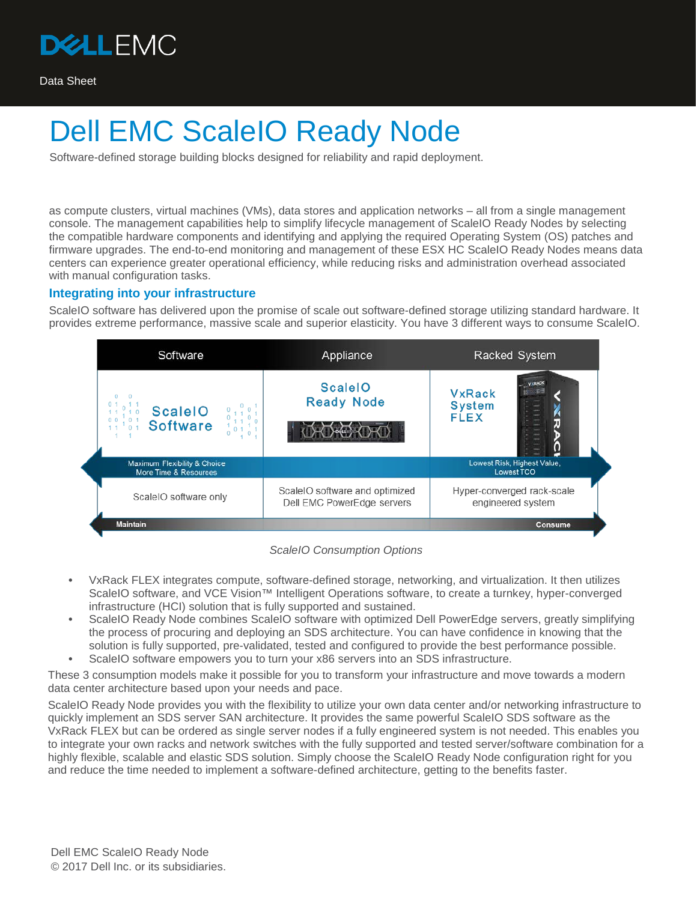

Software-defined storage building blocks designed for reliability and rapid deployment.

as compute clusters, virtual machines (VMs), data stores and application networks – all from a single management console. The management capabilities help to simplify lifecycle management of ScaleIO Ready Nodes by selecting the compatible hardware components and identifying and applying the required Operating System (OS) patches and firmware upgrades. The end-to-end monitoring and management of these ESX HC ScaleIO Ready Nodes means data centers can experience greater operational efficiency, while reducing risks and administration overhead associated with manual configuration tasks.

### **Integrating into your infrastructure**

ScaleIO software has delivered upon the promise of scale out software-defined storage utilizing standard hardware. It provides extreme performance, massive scale and superior elasticity. You have 3 different ways to consume ScaleIO.



*ScaleIO Consumption Options*

- **•** VxRack FLEX integrates compute, software-defined storage, networking, and virtualization. It then utilizes ScaleIO software, and VCE Vision™ Intelligent Operations software, to create a turnkey, hyper-converged infrastructure (HCI) solution that is fully supported and sustained.
- ScaleIO Ready Node combines ScaleIO software with optimized Dell PowerEdge servers, greatly simplifying the process of procuring and deploying an SDS architecture. You can have confidence in knowing that the solution is fully supported, pre-validated, tested and configured to provide the best performance possible. **•** ScaleIO software empowers you to turn your x86 servers into an SDS infrastructure.

These 3 consumption models make it possible for you to transform your infrastructure and move towards a modern data center architecture based upon your needs and pace.

ScaleIO Ready Node provides you with the flexibility to utilize your own data center and/or networking infrastructure to quickly implement an SDS server SAN architecture. It provides the same powerful ScaleIO SDS software as the VxRack FLEX but can be ordered as single server nodes if a fully engineered system is not needed. This enables you to integrate your own racks and network switches with the fully supported and tested server/software combination for a highly flexible, scalable and elastic SDS solution. Simply choose the ScaleIO Ready Node configuration right for you and reduce the time needed to implement a software-defined architecture, getting to the benefits faster.